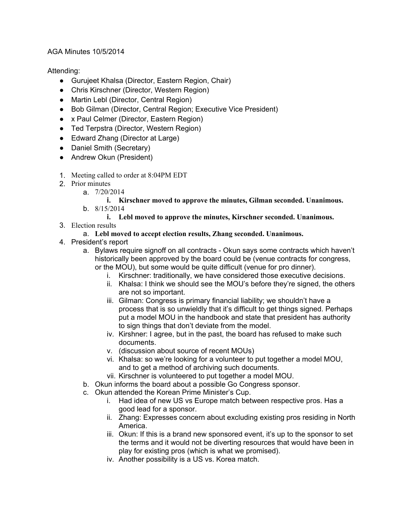## AGA Minutes 10/5/2014

## Attending:

- Gurujeet Khalsa (Director, Eastern Region, Chair)
- Chris Kirschner (Director, Western Region)
- Martin Lebl (Director, Central Region)
- Bob Gilman (Director, Central Region; Executive Vice President)
- x Paul Celmer (Director, Eastern Region)
- Ted Terpstra (Director, Western Region)
- Edward Zhang (Director at Large)
- Daniel Smith (Secretary)
- Andrew Okun (President)
- 1. Meeting called to order at 8:04PM EDT
- 2. Prior minutes
	- a. 7/20/2014

**i. Kirschner moved to approve the minutes, Gilman seconded. Unanimous.** b. 8/15/2014

- **i. Lebl moved to approve the minutes, Kirschner seconded. Unanimous.**
- 3. Election results
	- a. **Lebl moved to accept election results, Zhang seconded. Unanimous.**
- 4. President's report
	- a. Bylaws require signoff on all contracts Okun says some contracts which haven't historically been approved by the board could be (venue contracts for congress, or the MOU), but some would be quite difficult (venue for pro dinner).
		- i. Kirschner: traditionally, we have considered those executive decisions.
		- ii. Khalsa: I think we should see the MOU's before they're signed, the others are not so important.
		- iii. Gilman: Congress is primary financial liability; we shouldn't have a process that is so unwieldly that it's difficult to get things signed. Perhaps put a model MOU in the handbook and state that president has authority to sign things that don't deviate from the model.
		- iv. Kirshner: I agree, but in the past, the board has refused to make such documents.
		- v. (discussion about source of recent MOUs)
		- vi. Khalsa: so we're looking for a volunteer to put together a model MOU, and to get a method of archiving such documents.
		- vii. Kirschner is volunteered to put together a model MOU.
	- b. Okun informs the board about a possible Go Congress sponsor.
	- c. Okun attended the Korean Prime Minister's Cup.
		- i. Had idea of new US vs Europe match between respective pros. Has a good lead for a sponsor.
		- ii. Zhang: Expresses concern about excluding existing pros residing in North America.
		- iii. Okun: If this is a brand new sponsored event, it's up to the sponsor to set the terms and it would not be diverting resources that would have been in play for existing pros (which is what we promised).
		- iv. Another possibility is a US vs. Korea match.